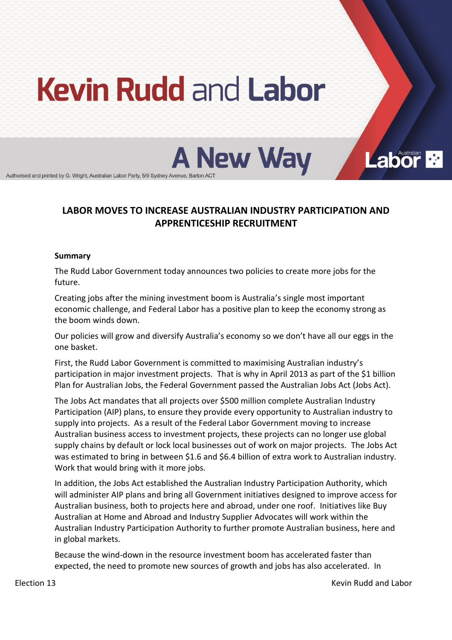# **Kevin Rudd and Labor**



Authorised and printed by G. Wright, Australian Labor Party, 5/9 Sydney Avenue, Barton AC

## LABOR MOVES TO INCREASE AUSTRALIAN INDUSTRY PARTICIPATION AND **APPRENTICESHIP!RECRUITMENT**

#### **Summary**

The Rudd Labor Government today announces two policies to create more jobs for the future.

Creating jobs after the mining investment boom is Australia's single most important economic challenge, and Federal Labor has a positive plan to keep the economy strong as the boom winds down.

Our policies will grow and diversify Australia's economy so we don't have all our eggs in the one)basket.

First, the Rudd Labor Government is committed to maximising Australian industry's participation in major investment projects. That is why in April 2013 as part of the \$1 billion Plan for Australian Jobs, the Federal Government passed the Australian Jobs Act (Jobs Act).

The Jobs Act mandates that all projects over \$500 million complete Australian Industry Participation (AIP) plans, to ensure they provide every opportunity to Australian industry to supply into projects. As a result of the Federal Labor Government moving to increase Australian business access to investment projects, these projects can no longer use global supply chains by default or lock local businesses out of work on major projects. The Jobs Act was estimated to bring in between \$1.6 and \$6.4 billion of extra work to Australian industry. Work that would bring with it more jobs.

In addition, the Jobs Act established the Australian Industry Participation Authority, which will administer AIP plans and bring all Government initiatives designed to improve access for Australian business, both to projects here and abroad, under one roof. Initiatives like Buy Australian at Home and Abroad and Industry Supplier Advocates will work within the Australian Industry Participation Authority to further promote Australian business, here and in global markets.

Because the wind-down in the resource investment boom has accelerated faster than expected, the need to promote new sources of growth and jobs has also accelerated. In

Election 13 and 13 and 13 and 13 and 13 and 13 and 13 and 13 and 13 and 13 and 13 and 13 and 13 and 13 and 13 and 14 and 15 and 16 and 16 and 16 and 16 and 16 and 16 and 16 and 16 and 16 and 16 and 16 and 16 and 16 and 16

**Labor**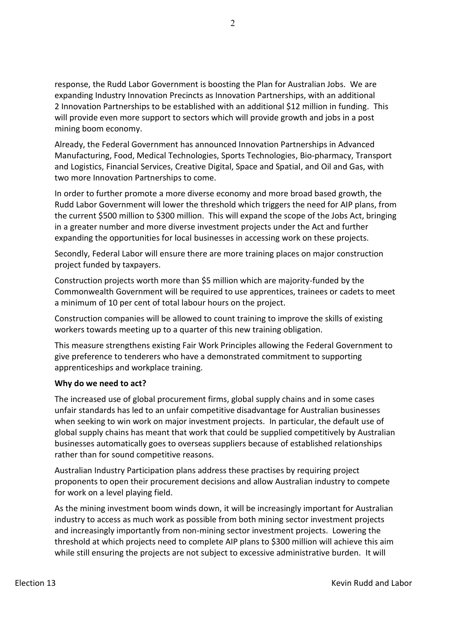response, the Rudd Labor Government is boosting the Plan for Australian Jobs. We are expanding Industry Innovation Precincts as Innovation Partnerships, with an additional 2 Innovation Partnerships to be established with an additional \$12 million in funding. This will provide even more support to sectors which will provide growth and jobs in a post mining boom economy.

Already, the Federal Government has announced Innovation Partnerships in Advanced Manufacturing, Food, Medical Technologies, Sports Technologies, Bio-pharmacy, Transport and Logistics, Financial Services, Creative Digital, Space and Spatial, and Oil and Gas, with two more Innovation Partnerships to come.

In order to further promote a more diverse economy and more broad based growth, the Rudd Labor Government will lower the threshold which triggers the need for AIP plans, from the current \$500 million to \$300 million. This will expand the scope of the Jobs Act, bringing in a greater number and more diverse investment projects under the Act and further expanding the opportunities for local businesses in accessing work on these projects.

Secondly, Federal Labor will ensure there are more training places on major construction project funded by taxpayers.

Construction projects worth more than \$5 million which are majority-funded by the Commonwealth Government will be required to use apprentices, trainees or cadets to meet a minimum of 10 per cent of total labour hours on the project.

Construction companies will be allowed to count training to improve the skills of existing workers towards meeting up to a quarter of this new training obligation.

This measure strengthens existing Fair Work Principles allowing the Federal Government to give preference to tenderers who have a demonstrated commitment to supporting apprenticeships and workplace training.

#### Why do we need to act?

The increased use of global procurement firms, global supply chains and in some cases unfair standards has led to an unfair competitive disadvantage for Australian businesses when seeking to win work on major investment projects. In particular, the default use of global supply chains has meant that work that could be supplied competitively by Australian businesses automatically goes to overseas suppliers because of established relationships rather than for sound competitive reasons.

Australian Industry Participation plans address these practises by requiring project proponents to open their procurement decisions and allow Australian industry to compete for work on a level playing field.

As the mining investment boom winds down, it will be increasingly important for Australian industry to access as much work as possible from both mining sector investment projects and increasingly importantly from non-mining sector investment projects. Lowering the threshold at which projects need to complete AIP plans to \$300 million will achieve this aim while still ensuring the projects are not subject to excessive administrative burden. It will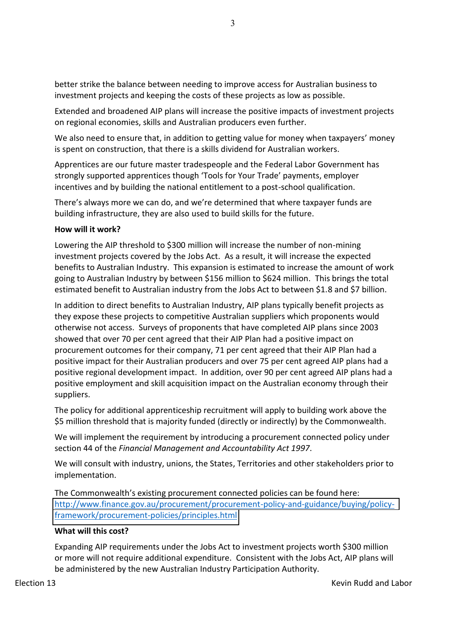better strike the balance between needing to improve access for Australian business to investment projects and keeping the costs of these projects as low as possible.

Extended and broadened AIP plans will increase the positive impacts of investment projects on regional economies, skills and Australian producers even further.

We also need to ensure that, in addition to getting value for money when taxpayers' money is spent on construction, that there is a skills dividend for Australian workers.

Apprentices are our future master tradespeople and the Federal Labor Government has strongly supported apprentices though 'Tools for Your Trade' payments, employer incentives and by building the national entitlement to a post-school qualification.

There's always more we can do, and we're determined that where taxpayer funds are building infrastructure, they are also used to build skills for the future.

### **How will it work?**

Lowering the AIP threshold to \$300 million will increase the number of non-mining investment projects covered by the Jobs Act. As a result, it will increase the expected benefits to Australian Industry. This expansion is estimated to increase the amount of work going to Australian Industry by between \$156 million to \$624 million. This brings the total estimated benefit to Australian industry from the Jobs Act to between \$1.8 and \$7 billion.

In addition to direct benefits to Australian Industry, AIP plans typically benefit projects as they expose these projects to competitive Australian suppliers which proponents would otherwise not access. Surveys of proponents that have completed AIP plans since 2003 showed that over 70 per cent agreed that their AIP Plan had a positive impact on procurement outcomes for their company, 71 per cent agreed that their AIP Plan had a positive impact for their Australian producers and over 75 per cent agreed AIP plans had a positive regional development impact. In addition, over 90 per cent agreed AIP plans had a positive employment and skill acquisition impact on the Australian economy through their suppliers.

The policy for additional apprenticeship recruitment will apply to building work above the \$5 million threshold that is majority funded (directly or indirectly) by the Commonwealth.

We will implement the requirement by introducing a procurement connected policy under section 44 of the *Financial Management and Accountability Act 1997*.

We will consult with industry, unions, the States, Territories and other stakeholders prior to implementation.

The Commonwealth's existing procurement connected policies can be found here: http://www.finance.gov.au/procurement/procurement-policy-and-guidance/buying/policyframework/procurement-policies/principles.html

#### **What will this cost?**

Expanding AIP requirements under the Jobs Act to investment projects worth \$300 million or more will not require additional expenditure. Consistent with the Jobs Act, AIP plans will be administered by the new Australian Industry Participation Authority.